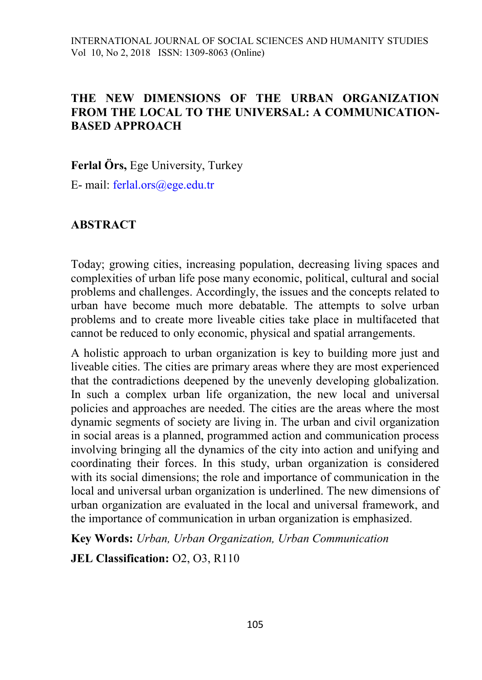#### **THE NEW DIMENSIONS OF THE URBAN ORGANIZATION FROM THE LOCAL TO THE UNIVERSAL: A COMMUNICATION-BASED APPROACH**

**Ferlal Örs,** Ege University, Turkey

E- mail: [ferlal.ors@ege.edu.tr](mailto:ferlal.ors@ege.edu.tr)

## **ABSTRACT**

Today; growing cities, increasing population, decreasing living spaces and complexities of urban life pose many economic, political, cultural and social problems and challenges. Accordingly, the issues and the concepts related to urban have become much more debatable. The attempts to solve urban problems and to create more liveable cities take place in multifaceted that cannot be reduced to only economic, physical and spatial arrangements.

A holistic approach to urban organization is key to building more just and liveable cities. The cities are primary areas where they are most experienced that the contradictions deepened by the unevenly developing globalization. In such a complex urban life organization, the new local and universal policies and approaches are needed. The cities are the areas where the most dynamic segments of society are living in. The urban and civil organization in social areas is a planned, programmed action and communication process involving bringing all the dynamics of the city into action and unifying and coordinating their forces. In this study, urban organization is considered with its social dimensions; the role and importance of communication in the local and universal urban organization is underlined. The new dimensions of urban organization are evaluated in the local and universal framework, and the importance of communication in urban organization is emphasized.

**Key Words:** *Urban, Urban Organization, Urban Communication*

**JEL Classification:** O2, O3, R110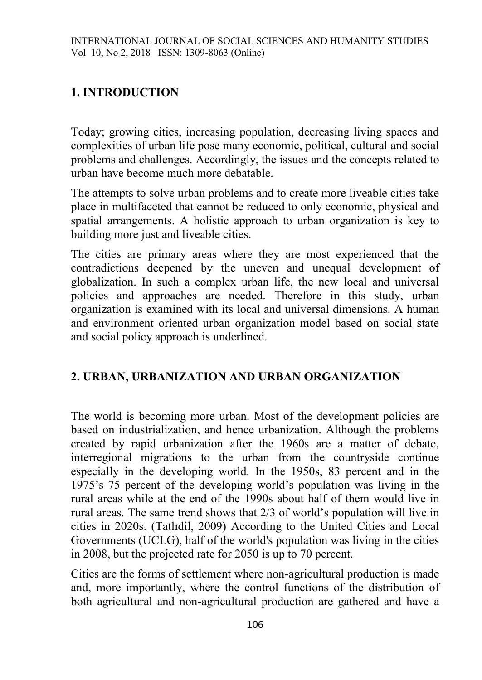## **1. INTRODUCTION**

Today; growing cities, increasing population, decreasing living spaces and complexities of urban life pose many economic, political, cultural and social problems and challenges. Accordingly, the issues and the concepts related to urban have become much more debatable.

The attempts to solve urban problems and to create more liveable cities take place in multifaceted that cannot be reduced to only economic, physical and spatial arrangements. A holistic approach to urban organization is key to building more just and liveable cities.

The cities are primary areas where they are most experienced that the contradictions deepened by the uneven and unequal development of globalization. In such a complex urban life, the new local and universal policies and approaches are needed. Therefore in this study, urban organization is examined with its local and universal dimensions. A human and environment oriented urban organization model based on social state and social policy approach is underlined.

## **2. URBAN, URBANIZATION AND URBAN ORGANIZATION**

The world is becoming more urban. Most of the development policies are based on industrialization, and hence urbanization. Although the problems created by rapid urbanization after the 1960s are a matter of debate, interregional migrations to the urban from the countryside continue especially in the developing world. In the 1950s, 83 percent and in the 1975's 75 percent of the developing world's population was living in the rural areas while at the end of the 1990s about half of them would live in rural areas. The same trend shows that 2/3 of world's population will live in cities in 2020s. (Tatlıdil, 2009) According to the United Cities and Local Governments (UCLG), half of the world's population was living in the cities in 2008, but the projected rate for 2050 is up to 70 percent.

Cities are the forms of settlement where non-agricultural production is made and, more importantly, where the control functions of the distribution of both agricultural and non-agricultural production are gathered and have a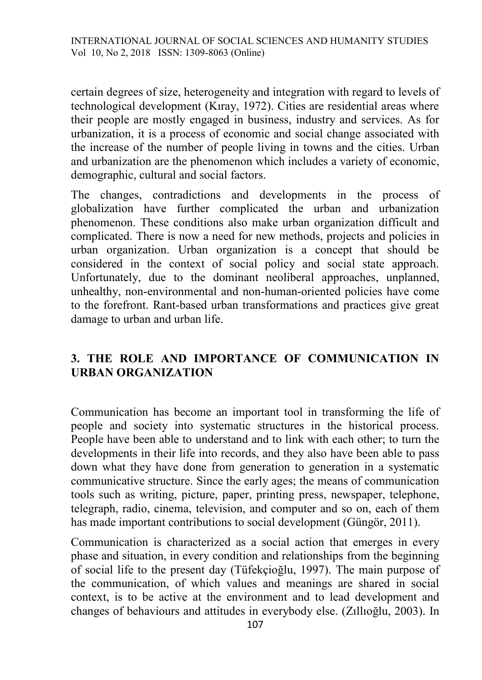certain degrees of size, heterogeneity and integration with regard to levels of technological development (Kıray, 1972). Cities are residential areas where their people are mostly engaged in business, industry and services. As for urbanization, it is a process of economic and social change associated with the increase of the number of people living in towns and the cities. Urban and urbanization are the phenomenon which includes a variety of economic, demographic, cultural and social factors.

The changes, contradictions and developments in the process of globalization have further complicated the urban and urbanization phenomenon. These conditions also make urban organization difficult and complicated. There is now a need for new methods, projects and policies in urban organization. Urban organization is a concept that should be considered in the context of social policy and social state approach. Unfortunately, due to the dominant neoliberal approaches, unplanned, unhealthy, non-environmental and non-human-oriented policies have come to the forefront. Rant-based urban transformations and practices give great damage to urban and urban life.

# **3. THE ROLE AND IMPORTANCE OF COMMUNICATION IN URBAN ORGANIZATION**

Communication has become an important tool in transforming the life of people and society into systematic structures in the historical process. People have been able to understand and to link with each other; to turn the developments in their life into records, and they also have been able to pass down what they have done from generation to generation in a systematic communicative structure. Since the early ages; the means of communication tools such as writing, picture, paper, printing press, newspaper, telephone, telegraph, radio, cinema, television, and computer and so on, each of them has made important contributions to social development (Güngör, 2011).

Communication is characterized as a social action that emerges in every phase and situation, in every condition and relationships from the beginning of social life to the present day (Tüfekçioğlu, 1997). The main purpose of the communication, of which values and meanings are shared in social context, is to be active at the environment and to lead development and changes of behaviours and attitudes in everybody else. (Zıllıoğlu, 2003). In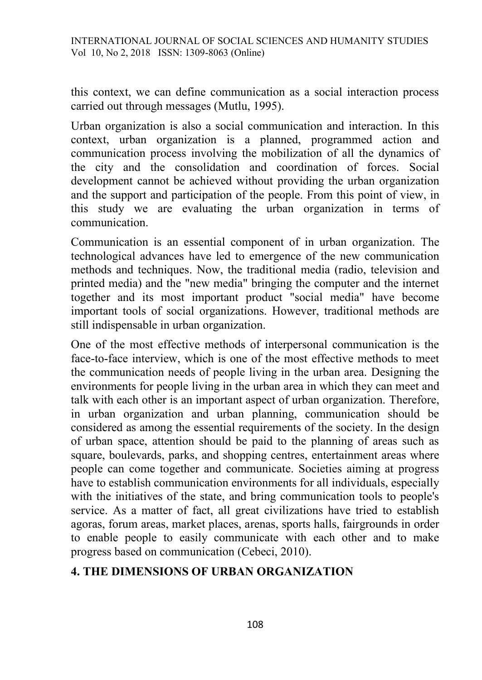this context, we can define communication as a social interaction process carried out through messages (Mutlu, 1995).

Urban organization is also a social communication and interaction. In this context, urban organization is a planned, programmed action and communication process involving the mobilization of all the dynamics of the city and the consolidation and coordination of forces. Social development cannot be achieved without providing the urban organization and the support and participation of the people. From this point of view, in this study we are evaluating the urban organization in terms of communication.

Communication is an essential component of in urban organization. The technological advances have led to emergence of the new communication methods and techniques. Now, the traditional media (radio, television and printed media) and the "new media" bringing the computer and the internet together and its most important product "social media" have become important tools of social organizations. However, traditional methods are still indispensable in urban organization.

One of the most effective methods of interpersonal communication is the face-to-face interview, which is one of the most effective methods to meet the communication needs of people living in the urban area. Designing the environments for people living in the urban area in which they can meet and talk with each other is an important aspect of urban organization. Therefore, in urban organization and urban planning, communication should be considered as among the essential requirements of the society. In the design of urban space, attention should be paid to the planning of areas such as square, boulevards, parks, and shopping centres, entertainment areas where people can come together and communicate. Societies aiming at progress have to establish communication environments for all individuals, especially with the initiatives of the state, and bring communication tools to people's service. As a matter of fact, all great civilizations have tried to establish agoras, forum areas, market places, arenas, sports halls, fairgrounds in order to enable people to easily communicate with each other and to make progress based on communication (Cebeci, 2010).

# **4. THE DIMENSIONS OF URBAN ORGANIZATION**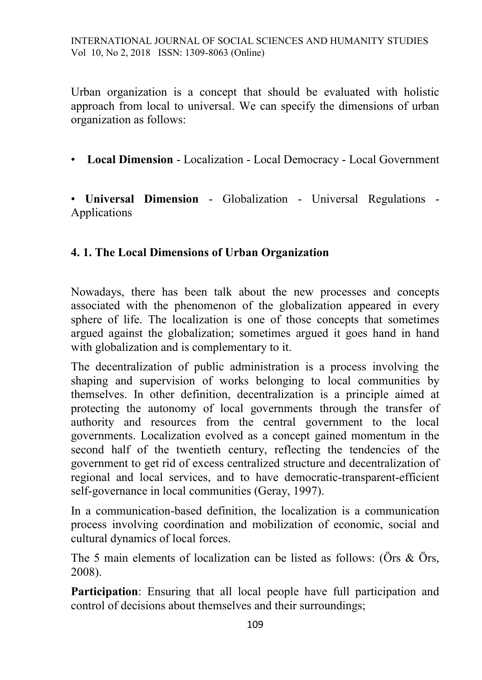Urban organization is a concept that should be evaluated with holistic approach from local to universal. We can specify the dimensions of urban organization as follows:

• **Local Dimension** - Localization - Local Democracy - Local Government

• **Universal Dimension** - Globalization - Universal Regulations - Applications

#### **4. 1. The Local Dimensions of Urban Organization**

Nowadays, there has been talk about the new processes and concepts associated with the phenomenon of the globalization appeared in every sphere of life. The localization is one of those concepts that sometimes argued against the globalization; sometimes argued it goes hand in hand with globalization and is complementary to it.

The decentralization of public administration is a process involving the shaping and supervision of works belonging to local communities by themselves. In other definition, decentralization is a principle aimed at protecting the autonomy of local governments through the transfer of authority and resources from the central government to the local governments. Localization evolved as a concept gained momentum in the second half of the twentieth century, reflecting the tendencies of the government to get rid of excess centralized structure and decentralization of regional and local services, and to have democratic-transparent-efficient self-governance in local communities (Geray, 1997).

In a communication-based definition, the localization is a communication process involving coordination and mobilization of economic, social and cultural dynamics of local forces.

The 5 main elements of localization can be listed as follows: (Örs & Örs, 2008).

**Participation**: Ensuring that all local people have full participation and control of decisions about themselves and their surroundings;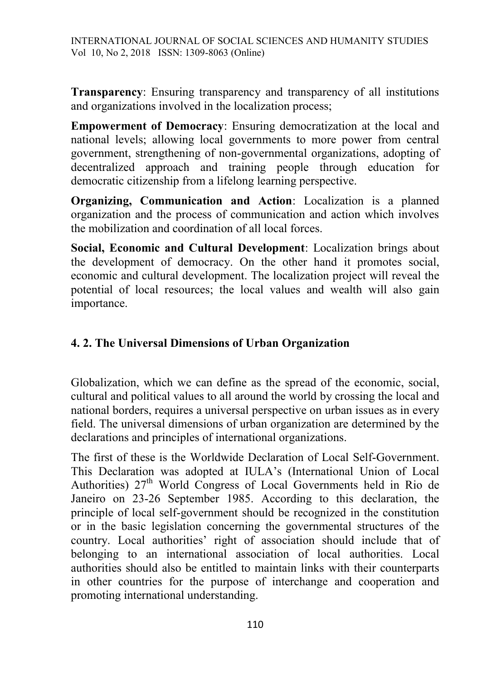**Transparency**: Ensuring transparency and transparency of all institutions and organizations involved in the localization process;

**Empowerment of Democracy**: Ensuring democratization at the local and national levels; allowing local governments to more power from central government, strengthening of non-governmental organizations, adopting of decentralized approach and training people through education for democratic citizenship from a lifelong learning perspective.

**Organizing, Communication and Action**: Localization is a planned organization and the process of communication and action which involves the mobilization and coordination of all local forces.

**Social, Economic and Cultural Development**: Localization brings about the development of democracy. On the other hand it promotes social, economic and cultural development. The localization project will reveal the potential of local resources; the local values and wealth will also gain importance.

# **4. 2. The Universal Dimensions of Urban Organization**

Globalization, which we can define as the spread of the economic, social, cultural and political values to all around the world by crossing the local and national borders, requires a universal perspective on urban issues as in every field. The universal dimensions of urban organization are determined by the declarations and principles of international organizations.

The first of these is the Worldwide Declaration of Local Self-Government. This Declaration was adopted at IULA's (International Union of Local Authorities)  $27<sup>th</sup>$  World Congress of Local Governments held in Rio de Janeiro on 23-26 September 1985. According to this declaration, the principle of local self-government should be recognized in the constitution or in the basic legislation concerning the governmental structures of the country. Local authorities' right of association should include that of belonging to an international association of local authorities. Local authorities should also be entitled to maintain links with their counterparts in other countries for the purpose of interchange and cooperation and promoting international understanding.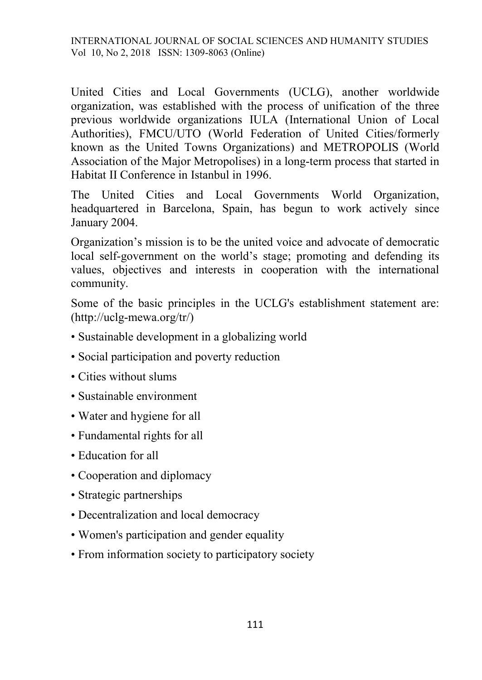United Cities and Local Governments (UCLG), another worldwide organization, was established with the process of unification of the three previous worldwide organizations IULA (International Union of Local Authorities), FMCU/UTO (World Federation of United Cities/formerly known as the United Towns Organizations) and METROPOLIS (World Association of the Major Metropolises) in a long-term process that started in Habitat II Conference in Istanbul in 1996.

The United Cities and Local Governments World Organization, headquartered in Barcelona, Spain, has begun to work actively since January 2004.

Organization's mission is to be the united voice and advocate of democratic local self-government on the world's stage; promoting and defending its values, objectives and interests in cooperation with the international community.

Some of the basic principles in the UCLG's establishment statement are: (http://uclg-mewa.org/tr/)

- Sustainable development in a globalizing world
- Social participation and poverty reduction
- Cities without slums
- Sustainable environment
- Water and hygiene for all
- Fundamental rights for all
- Education for all
- Cooperation and diplomacy
- Strategic partnerships
- Decentralization and local democracy
- Women's participation and gender equality
- From information society to participatory society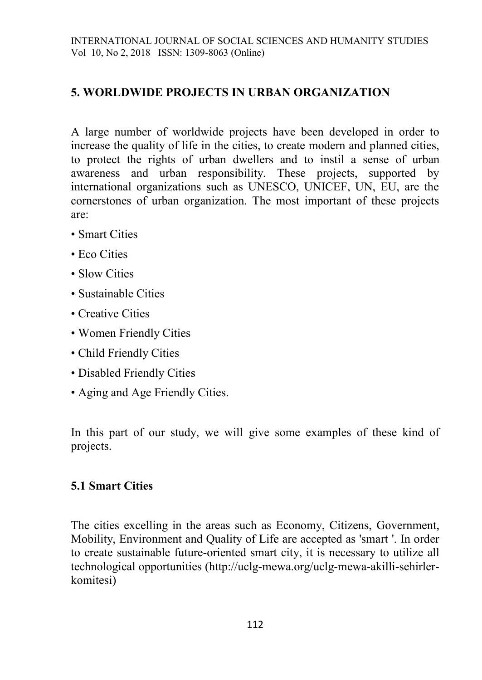## **5. WORLDWIDE PROJECTS IN URBAN ORGANIZATION**

A large number of worldwide projects have been developed in order to increase the quality of life in the cities, to create modern and planned cities, to protect the rights of urban dwellers and to instil a sense of urban awareness and urban responsibility. These projects, supported by international organizations such as UNESCO, UNICEF, UN, EU, are the cornerstones of urban organization. The most important of these projects are:

- Smart Cities
- Eco Cities
- Slow Cities
- Sustainable Cities
- Creative Cities
- Women Friendly Cities
- Child Friendly Cities
- Disabled Friendly Cities
- Aging and Age Friendly Cities.

In this part of our study, we will give some examples of these kind of projects.

#### **5.1 Smart Cities**

The cities excelling in the areas such as Economy, Citizens, Government, Mobility, Environment and Quality of Life are accepted as 'smart '. In order to create sustainable future-oriented smart city, it is necessary to utilize all technological opportunities (http://uclg-mewa.org/uclg-mewa-akilli-sehirlerkomitesi)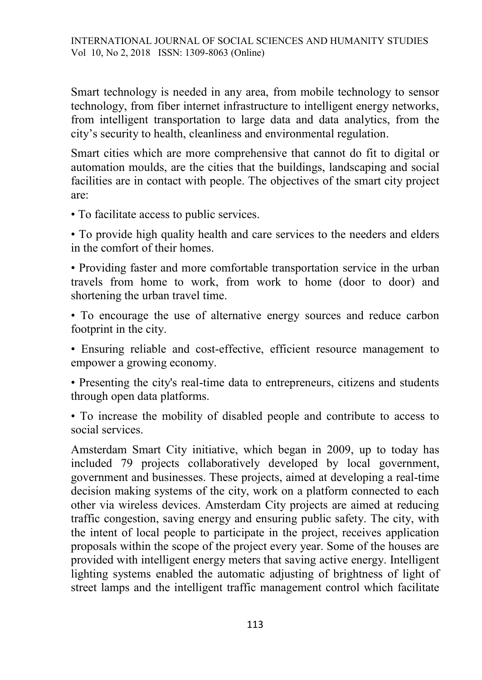Smart technology is needed in any area, from mobile technology to sensor technology, from fiber internet infrastructure to intelligent energy networks, from intelligent transportation to large data and data analytics, from the city's security to health, cleanliness and environmental regulation.

Smart cities which are more comprehensive that cannot do fit to digital or automation moulds, are the cities that the buildings, landscaping and social facilities are in contact with people. The objectives of the smart city project are:

• To facilitate access to public services.

• To provide high quality health and care services to the needers and elders in the comfort of their homes.

• Providing faster and more comfortable transportation service in the urban travels from home to work, from work to home (door to door) and shortening the urban travel time.

• To encourage the use of alternative energy sources and reduce carbon footprint in the city.

• Ensuring reliable and cost-effective, efficient resource management to empower a growing economy.

• Presenting the city's real-time data to entrepreneurs, citizens and students through open data platforms.

• To increase the mobility of disabled people and contribute to access to social services.

Amsterdam Smart City initiative, which began in 2009, up to today has included 79 projects collaboratively developed by local government, government and businesses. These projects, aimed at developing a real-time decision making systems of the city, work on a platform connected to each other via wireless devices. Amsterdam City projects are aimed at reducing traffic congestion, saving energy and ensuring public safety. The city, with the intent of local people to participate in the project, receives application proposals within the scope of the project every year. Some of the houses are provided with intelligent energy meters that saving active energy. Intelligent lighting systems enabled the automatic adjusting of brightness of light of street lamps and the intelligent traffic management control which facilitate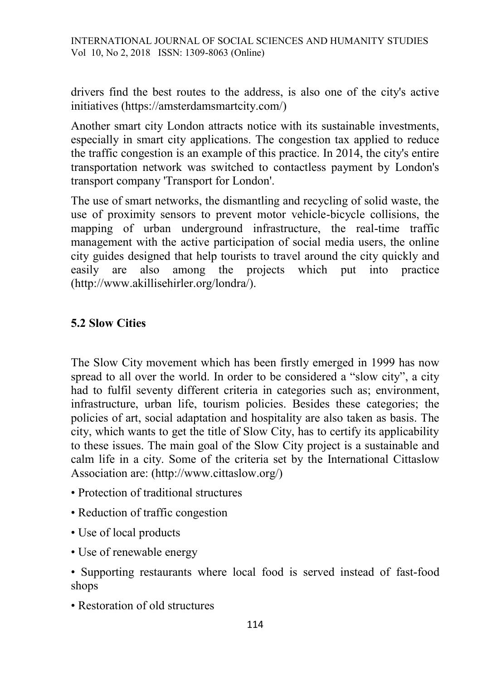INTERNATIONAL JOURNAL OF SOCIAL SCIENCES AND HUMANITY STUDIES Vol 10, No 2, 2018 ISSN: 1309-8063 (Online)

drivers find the best routes to the address, is also one of the city's active initiatives (https://amsterdamsmartcity.com/)

Another smart city London attracts notice with its sustainable investments, especially in smart city applications. The congestion tax applied to reduce the traffic congestion is an example of this practice. In 2014, the city's entire transportation network was switched to contactless payment by London's transport company 'Transport for London'.

The use of smart networks, the dismantling and recycling of solid waste, the use of proximity sensors to prevent motor vehicle-bicycle collisions, the mapping of urban underground infrastructure, the real-time traffic management with the active participation of social media users, the online city guides designed that help tourists to travel around the city quickly and easily are also among the projects which put into practice (http://www.akillisehirler.org/londra/).

#### **5.2 Slow Cities**

The Slow City movement which has been firstly emerged in 1999 has now spread to all over the world. In order to be considered a "slow city", a city had to fulfil seventy different criteria in categories such as; environment, infrastructure, urban life, tourism policies. Besides these categories; the policies of art, social adaptation and hospitality are also taken as basis. The city, which wants to get the title of Slow City, has to certify its applicability to these issues. The main goal of the Slow City project is a sustainable and calm life in a city. Some of the criteria set by the International Cittaslow Association are: (http://www.cittaslow.org/)

- Protection of traditional structures
- Reduction of traffic congestion
- Use of local products
- Use of renewable energy

• Supporting restaurants where local food is served instead of fast-food shops

• Restoration of old structures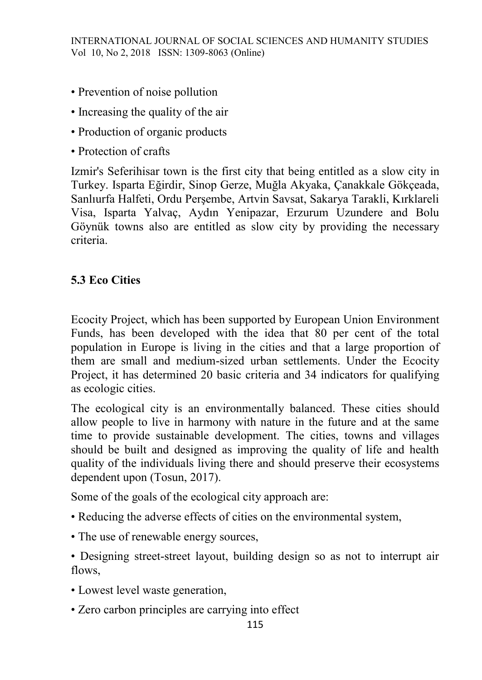- Prevention of noise pollution
- Increasing the quality of the air
- Production of organic products
- Protection of crafts

Izmir's Seferihisar town is the first city that being entitled as a slow city in Turkey. Isparta Eğirdir, Sinop Gerze, Muğla Akyaka, Çanakkale Gökçeada, Sanlıurfa Halfeti, Ordu Perşembe, Artvin Savsat, Sakarya Tarakli, Kırklareli Visa, Isparta Yalvaç, Aydın Yenipazar, Erzurum Uzundere and Bolu Göynük towns also are entitled as slow city by providing the necessary criteria.

# **5.3 Eco Cities**

Ecocity Project, which has been supported by European Union Environment Funds, has been developed with the idea that 80 per cent of the total population in Europe is living in the cities and that a large proportion of them are small and medium-sized urban settlements. Under the Ecocity Project, it has determined 20 basic criteria and 34 indicators for qualifying as ecologic cities.

The ecological city is an environmentally balanced. These cities should allow people to live in harmony with nature in the future and at the same time to provide sustainable development. The cities, towns and villages should be built and designed as improving the quality of life and health quality of the individuals living there and should preserve their ecosystems dependent upon (Tosun, 2017).

Some of the goals of the ecological city approach are:

- Reducing the adverse effects of cities on the environmental system,
- The use of renewable energy sources,

• Designing street-street layout, building design so as not to interrupt air flows,

- Lowest level waste generation,
- Zero carbon principles are carrying into effect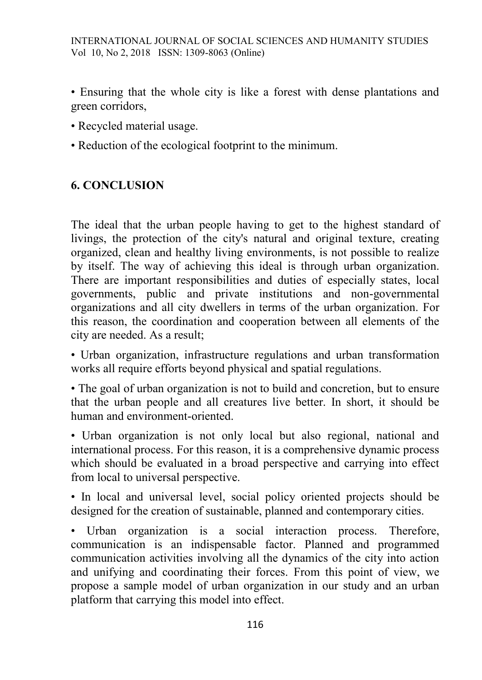- Ensuring that the whole city is like a forest with dense plantations and green corridors,
- Recycled material usage.
- Reduction of the ecological footprint to the minimum.

## **6. CONCLUSION**

The ideal that the urban people having to get to the highest standard of livings, the protection of the city's natural and original texture, creating organized, clean and healthy living environments, is not possible to realize by itself. The way of achieving this ideal is through urban organization. There are important responsibilities and duties of especially states, local governments, public and private institutions and non-governmental organizations and all city dwellers in terms of the urban organization. For this reason, the coordination and cooperation between all elements of the city are needed. As a result;

• Urban organization, infrastructure regulations and urban transformation works all require efforts beyond physical and spatial regulations.

• The goal of urban organization is not to build and concretion, but to ensure that the urban people and all creatures live better. In short, it should be human and environment-oriented.

• Urban organization is not only local but also regional, national and international process. For this reason, it is a comprehensive dynamic process which should be evaluated in a broad perspective and carrying into effect from local to universal perspective.

• In local and universal level, social policy oriented projects should be designed for the creation of sustainable, planned and contemporary cities.

• Urban organization is a social interaction process. Therefore, communication is an indispensable factor. Planned and programmed communication activities involving all the dynamics of the city into action and unifying and coordinating their forces. From this point of view, we propose a sample model of urban organization in our study and an urban platform that carrying this model into effect.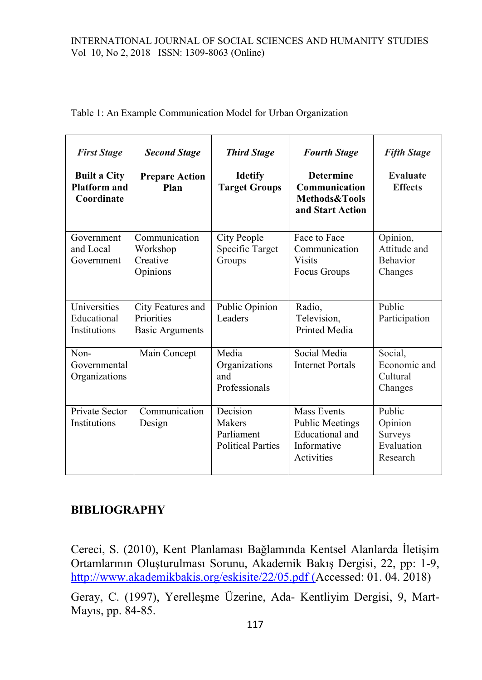#### INTERNATIONAL JOURNAL OF SOCIAL SCIENCES AND HUMANITY STUDIES Vol 10, No 2, 2018 ISSN: 1309-8063 (Online)

| <b>First Stage</b><br><b>Built a City</b><br><b>Platform and</b><br>Coordinate | <b>Second Stage</b><br><b>Prepare Action</b><br>Plan      | <b>Third Stage</b><br><b>Idetify</b><br><b>Target Groups</b> | <b>Fourth Stage</b><br><b>Determine</b><br>Communication<br>Methods&Tools<br>and Start Action | <b>Fifth Stage</b><br>Evaluate<br><b>Effects</b>       |
|--------------------------------------------------------------------------------|-----------------------------------------------------------|--------------------------------------------------------------|-----------------------------------------------------------------------------------------------|--------------------------------------------------------|
| Government<br>and Local<br>Government                                          | Communication<br>Workshop<br>Creative<br>Opinions         | City People<br>Specific Target<br>Groups                     | Face to Face<br>Communication<br><b>Visits</b><br>Focus Groups                                | Opinion,<br>Attitude and<br>Behavior<br>Changes        |
| Universities<br>Educational<br><b>Institutions</b>                             | City Features and<br>Priorities<br><b>Basic Arguments</b> | Public Opinion<br>Leaders                                    | Radio,<br>Television,<br>Printed Media                                                        | Public<br>Participation                                |
| Non-<br>Governmental<br>Organizations                                          | Main Concept                                              | Media<br>Organizations<br>and<br>Professionals               | Social Media<br><b>Internet Portals</b>                                                       | Social,<br>Economic and<br>Cultural<br>Changes         |
| Private Sector<br>Institutions                                                 | Communication<br>Design                                   | Decision<br>Makers<br>Parliament<br><b>Political Parties</b> | <b>Mass Events</b><br><b>Public Meetings</b><br>Educational and<br>Informative<br>Activities  | Public<br>Opinion<br>Surveys<br>Evaluation<br>Research |

Table 1: An Example Communication Model for Urban Organization

## **BIBLIOGRAPHY**

Cereci, S. (2010), Kent Planlaması Bağlamında Kentsel Alanlarda İletişim Ortamlarının Oluşturulması Sorunu, Akademik Bakış Dergisi, 22, pp: 1-9, <http://www.akademikbakis.org/eskisite/22/05.pdf> (Accessed: 01. 04. 2018)

Geray, C. (1997), Yerelleşme Üzerine, Ada- Kentliyim Dergisi, 9, Mart-Mayıs, pp. 84-85.